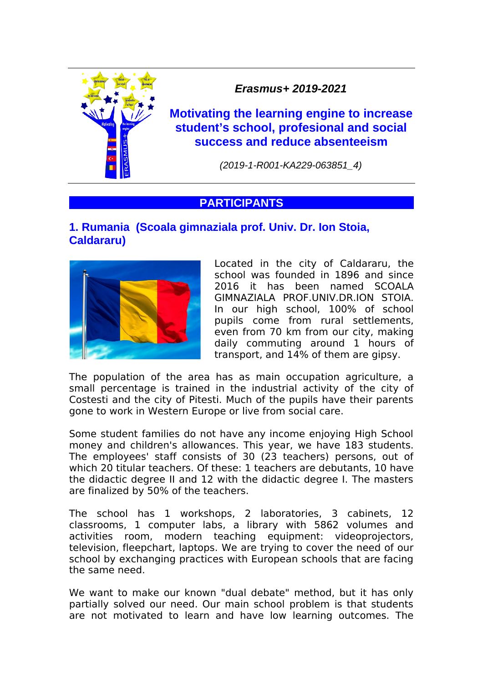

*Erasmus+ 2019-2021*

**Motivating the learning engine to increase student's school, profesional and social success and reduce absenteeism**

*(2019-1-R001-KA229-063851\_4)*

# **PARTICIPANTS**

### **1. Rumania (Scoala gimnaziala prof. Univ. Dr. Ion Stoia, Caldararu)**



Located in the city of Caldararu, the school was founded in 1896 and since 2016 it has been named SCOALA GIMNAZIALA PROF.UNIV.DR.ION STOIA. In our high school, 100% of school pupils come from rural settlements, even from 70 km from our city, making daily commuting around 1 hours of transport, and 14% of them are gipsy.

The population of the area has as main occupation agriculture, a small percentage is trained in the industrial activity of the city of Costesti and the city of Pitesti. Much of the pupils have their parents gone to work in Western Europe or live from social care.

Some student families do not have any income enjoying High School money and children's allowances. This year, we have 183 students. The employees' staff consists of 30 (23 teachers) persons, out of which 20 titular teachers. Of these: 1 teachers are debutants, 10 have the didactic degree II and 12 with the didactic degree I. The masters are finalized by 50% of the teachers.

The school has 1 workshops, 2 laboratories, 3 cabinets, 12 classrooms, 1 computer labs, a library with 5862 volumes and activities room, modern teaching equipment: videoprojectors, television, fleepchart, laptops. We are trying to cover the need of our school by exchanging practices with European schools that are facing the same need.

We want to make our known "dual debate" method, but it has only partially solved our need. Our main school problem is that students are not motivated to learn and have low learning outcomes. The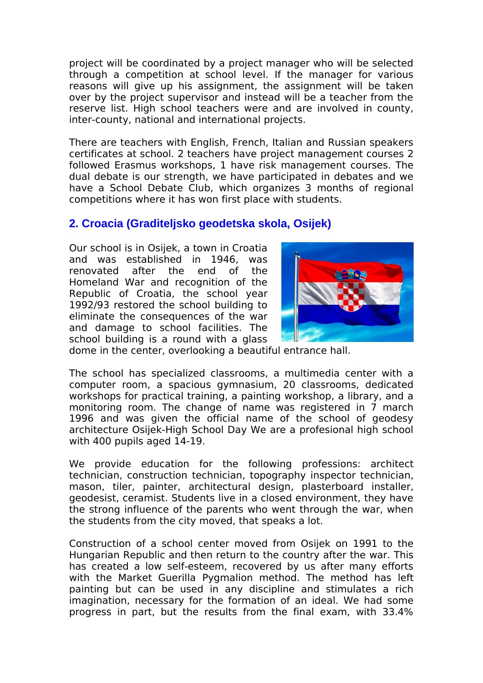project will be coordinated by a project manager who will be selected through a competition at school level. If the manager for various reasons will give up his assignment, the assignment will be taken over by the project supervisor and instead will be a teacher from the reserve list. High school teachers were and are involved in county, inter-county, national and international projects.

There are teachers with English, French, Italian and Russian speakers certificates at school. 2 teachers have project management courses 2 followed Erasmus workshops, 1 have risk management courses. The dual debate is our strength, we have participated in debates and we have a School Debate Club, which organizes 3 months of regional competitions where it has won first place with students.

# **2. Croacia (Graditeljsko geodetska skola, Osijek)**

Our school is in Osijek, a town in Croatia and was established in 1946, was renovated after the end of the Homeland War and recognition of the Republic of Croatia, the school year 1992/93 restored the school building to eliminate the consequences of the war and damage to school facilities. The school building is a round with a glass



dome in the center, overlooking a beautiful entrance hall.

The school has specialized classrooms, a multimedia center with a computer room, a spacious gymnasium, 20 classrooms, dedicated workshops for practical training, a painting workshop, a library, and a monitoring room. The change of name was registered in 7 march 1996 and was given the official name of the school of geodesy architecture Osijek-High School Day We are a profesional high school with 400 pupils aged 14-19.

We provide education for the following professions: architect technician, construction technician, topography inspector technician, mason, tiler, painter, architectural design, plasterboard installer, geodesist, ceramist. Students live in a closed environment, they have the strong influence of the parents who went through the war, when the students from the city moved, that speaks a lot.

Construction of a school center moved from Osijek on 1991 to the Hungarian Republic and then return to the country after the war. This has created a low self-esteem, recovered by us after many efforts with the Market Guerilla Pygmalion method. The method has left painting but can be used in any discipline and stimulates a rich imagination, necessary for the formation of an ideal. We had some progress in part, but the results from the final exam, with 33.4%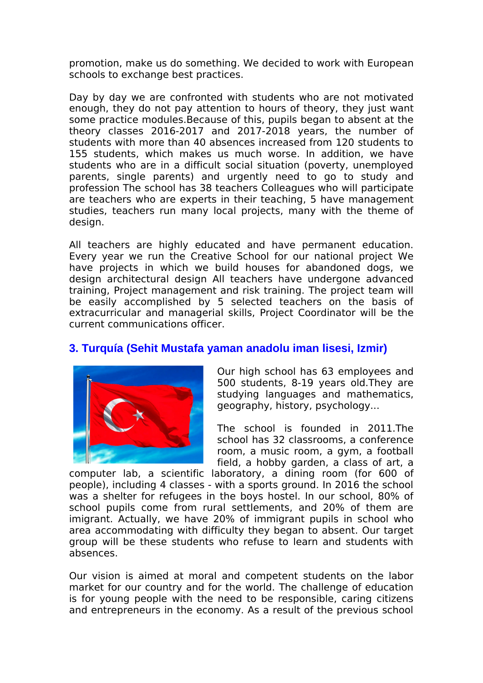promotion, make us do something. We decided to work with European schools to exchange best practices.

Day by day we are confronted with students who are not motivated enough, they do not pay attention to hours of theory, they just want some practice modules.Because of this, pupils began to absent at the theory classes 2016-2017 and 2017-2018 years, the number of students with more than 40 absences increased from 120 students to 155 students, which makes us much worse. In addition, we have students who are in a difficult social situation (poverty, unemployed parents, single parents) and urgently need to go to study and profession The school has 38 teachers Colleagues who will participate are teachers who are experts in their teaching, 5 have management studies, teachers run many local projects, many with the theme of design.

All teachers are highly educated and have permanent education. Every year we run the Creative School for our national project We have projects in which we build houses for abandoned dogs, we design architectural design All teachers have undergone advanced training, Project management and risk training. The project team will be easily accomplished by 5 selected teachers on the basis of extracurricular and managerial skills, Project Coordinator will be the current communications officer.

# **3. Turquía (Sehit Mustafa yaman anadolu iman lisesi, Izmir)**



Our high school has 63 employees and 500 students, 8-19 years old.They are studying languages and mathematics, geography, history, psychology...

The school is founded in 2011.The school has 32 classrooms, a conference room, a music room, a gym, a football field, a hobby garden, a class of art, a

computer lab, a scientific laboratory, a dining room (for 600 of people), including 4 classes - with a sports ground. In 2016 the school was a shelter for refugees in the boys hostel. In our school, 80% of school pupils come from rural settlements, and 20% of them are imigrant. Actually, we have 20% of immigrant pupils in school who area accommodating with difficulty they began to absent. Our target group will be these students who refuse to learn and students with absences.

Our vision is aimed at moral and competent students on the labor market for our country and for the world. The challenge of education is for young people with the need to be responsible, caring citizens and entrepreneurs in the economy. As a result of the previous school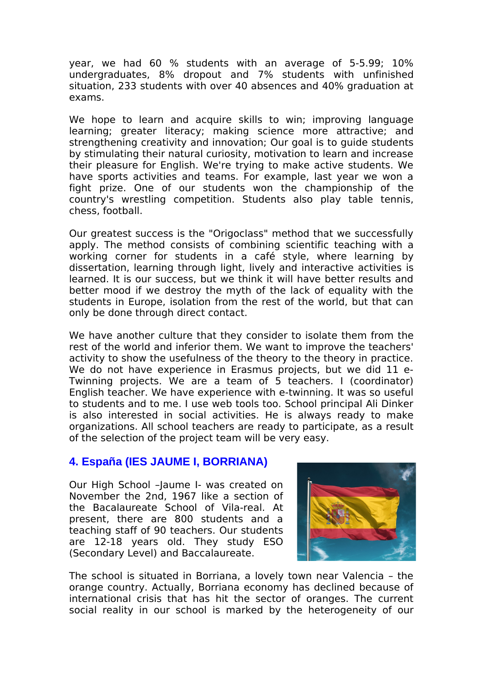year, we had 60 % students with an average of 5-5.99; 10% undergraduates, 8% dropout and 7% students with unfinished situation, 233 students with over 40 absences and 40% graduation at exams.

We hope to learn and acquire skills to win; improving language learning; greater literacy; making science more attractive; and strengthening creativity and innovation; Our goal is to guide students by stimulating their natural curiosity, motivation to learn and increase their pleasure for English. We're trying to make active students. We have sports activities and teams. For example, last year we won a fight prize. One of our students won the championship of the country's wrestling competition. Students also play table tennis, chess, football.

Our greatest success is the "Origoclass" method that we successfully apply. The method consists of combining scientific teaching with a working corner for students in a café style, where learning by dissertation, learning through light, lively and interactive activities is learned. It is our success, but we think it will have better results and better mood if we destroy the myth of the lack of equality with the students in Europe, isolation from the rest of the world, but that can only be done through direct contact.

We have another culture that they consider to isolate them from the rest of the world and inferior them. We want to improve the teachers' activity to show the usefulness of the theory to the theory in practice. We do not have experience in Erasmus projects, but we did 11 e-Twinning projects. We are a team of 5 teachers. I (coordinator) English teacher. We have experience with e-twinning. It was so useful to students and to me. I use web tools too. School principal Ali Dinker is also interested in social activities. He is always ready to make organizations. All school teachers are ready to participate, as a result of the selection of the project team will be very easy.

#### **4. España (IES JAUME I, BORRIANA)**

Our High School –Jaume I- was created on November the 2nd, 1967 like a section of the Bacalaureate School of Vila-real. At present, there are 800 students and a teaching staff of 90 teachers. Our students are 12-18 years old. They study ESO (Secondary Level) and Baccalaureate.



The school is situated in Borriana, a lovely town near Valencia – the orange country. Actually, Borriana economy has declined because of international crisis that has hit the sector of oranges. The current social reality in our school is marked by the heterogeneity of our